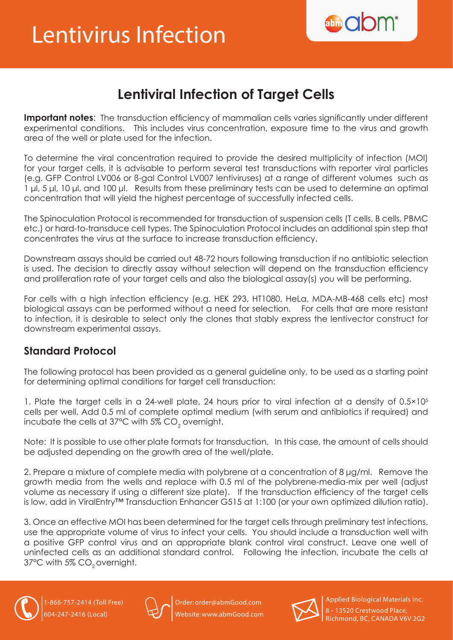

## **Lentiviral Infection of Target Cells**

**Important notes:** The transduction efficiency of mammalian cells varies significantly under different experimental conditions. This includes virus concentration, exposure time to the virus and growth area of the well or plate used for the infection.

To determine the viral concentration required to provide the desired multiplicity of infection (MOI) for your target cells, it is advisable to perform several test transductions with reporter viral particles (e.g. GFP Control LV006 or ß-gal Control LV007 lentiviruses) at a range of different volumes such as 1 μl, 5 μl, 10 μl, and 100 μl. Results from these preliminary tests can be used to determine an optimal concentration that will yield the highest percentage of successfully infected cells.

The Spinoculation Protocol is recommended for transduction of suspension cells (T cells, B cells, PBMC etc.) or hard-to-transduce cell types. The Spinoculation Protocol includes an additional spin step that concentrates the virus at the surface to increase transduction efficiency.

Downstream assays should be carried out 48-72 hours following transduction if no antibiotic selection is used. The decision to directly assay without selection will depend on the transduction efficiency and proliferation rate of your target cells and also the biological assay(s) you will be performing.

For cells with a high infection efficiency (e.g. HEK 293, HT1080, HeLa, MDA-MB-468 cells etc) most biological assays can be performed without a need for selection. For cells that are more resistant to infection, it is desirable to select only the clones that stably express the lentivector construct for downstream experimental assays.

## **Standard Protocol**

The following protocol has been provided as a general guideline only, to be used as a starting point for determining optimal conditions for target cell transduction:

1. Plate the target cells in a 24-well plate, 24 hours prior to viral infection at a density of 0.5×10<sup>5</sup> cells per well. Add 0.5 ml of complete optimal medium (with serum and antibiotics if required) and incubate the cells at 37°C with 5% CO $_{\rm 2}$  overnight.

Note: It is possible to use other plate formats for transduction. In this case, the amount of cells should be adjusted depending on the growth area of the well/plate.

2. Prepare a mixture of complete media with polybrene at a concentration of 8 μg/ml. Remove the growth media from the wells and replace with 0.5 ml of the polybrene-media-mix per well (adjust volume as necessary if using a different size plate). If the transduction efficiency of the target cells is low, add in ViralEntry™ Transduction Enhancer G515 at 1:100 (or your own optimized dilution ratio).

3. Once an effective MOI has been determined for the target cells through preliminary test infections, use the appropriate volume of virus to infect your cells. You should include a transduction well with a positive GFP control virus and an appropriate blank control viral construct. Leave one well of uninfected cells as an additional standard control. Following the infection, incubate the cells at 37°C with 5% CO<sub>2</sub> overnight.





Order: order@abmGood.com Website: www.abmGood.com



Applied Biological Materials Inc. 8 - 13520 Crestwood Place, Richmond, BC, CANADA V6V 2G2